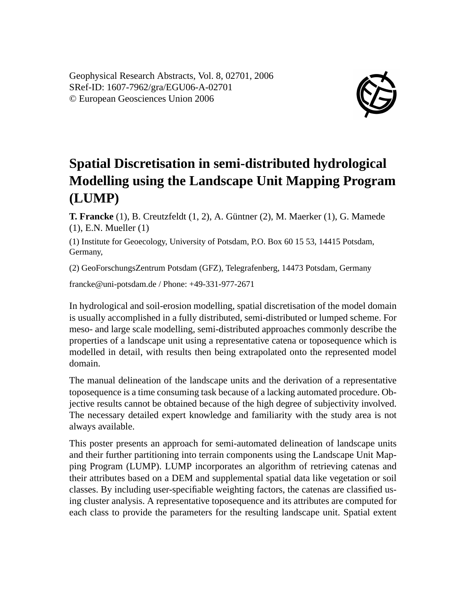Geophysical Research Abstracts, Vol. 8, 02701, 2006 SRef-ID: 1607-7962/gra/EGU06-A-02701 © European Geosciences Union 2006



## **Spatial Discretisation in semi-distributed hydrological Modelling using the Landscape Unit Mapping Program (LUMP)**

**T. Francke** (1), B. Creutzfeldt (1, 2), A. Güntner (2), M. Maerker (1), G. Mamede (1), E.N. Mueller (1)

(1) Institute for Geoecology, University of Potsdam, P.O. Box 60 15 53, 14415 Potsdam, Germany,

(2) GeoForschungsZentrum Potsdam (GFZ), Telegrafenberg, 14473 Potsdam, Germany

francke@uni-potsdam.de / Phone: +49-331-977-2671

In hydrological and soil-erosion modelling, spatial discretisation of the model domain is usually accomplished in a fully distributed, semi-distributed or lumped scheme. For meso- and large scale modelling, semi-distributed approaches commonly describe the properties of a landscape unit using a representative catena or toposequence which is modelled in detail, with results then being extrapolated onto the represented model domain.

The manual delineation of the landscape units and the derivation of a representative toposequence is a time consuming task because of a lacking automated procedure. Objective results cannot be obtained because of the high degree of subjectivity involved. The necessary detailed expert knowledge and familiarity with the study area is not always available.

This poster presents an approach for semi-automated delineation of landscape units and their further partitioning into terrain components using the Landscape Unit Mapping Program (LUMP). LUMP incorporates an algorithm of retrieving catenas and their attributes based on a DEM and supplemental spatial data like vegetation or soil classes. By including user-specifiable weighting factors, the catenas are classified using cluster analysis. A representative toposequence and its attributes are computed for each class to provide the parameters for the resulting landscape unit. Spatial extent